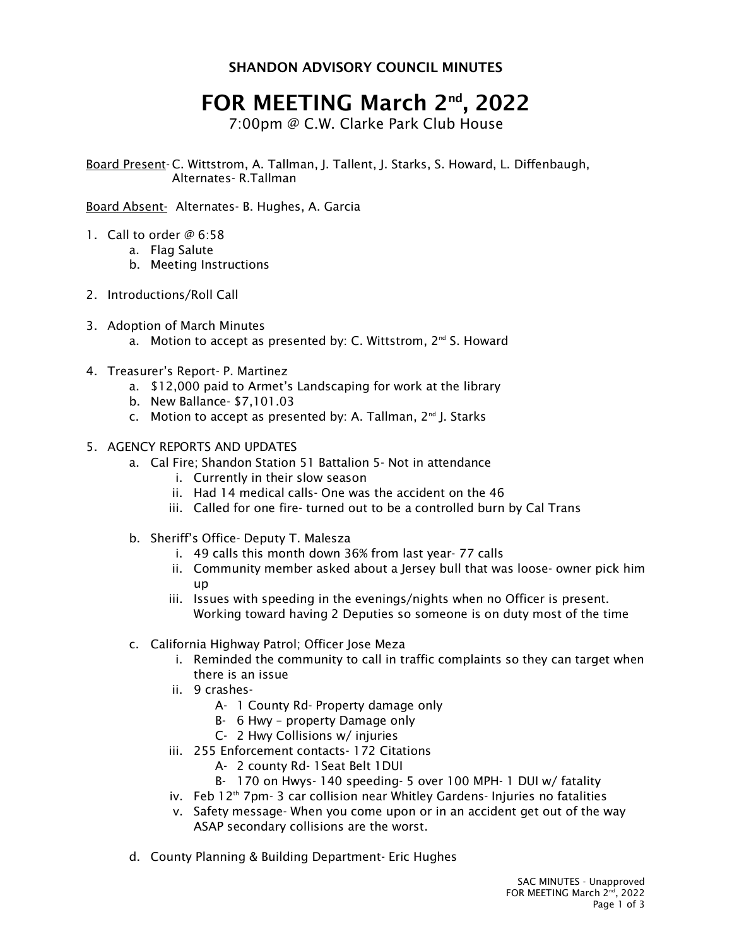## SHANDON ADVISORY COUNCIL MINUTES

## FOR MEETING March 2nd , 2022

7:00pm @ C.W. Clarke Park Club House

Board Present- C. Wittstrom, A. Tallman, J. Tallent, J. Starks, S. Howard, L. Diffenbaugh, Alternates- R.Tallman

Board Absent- Alternates- B. Hughes, A. Garcia

- 1. Call to order @ 6:58
	- a. Flag Salute
		- b. Meeting Instructions
- 2. Introductions/Roll Call
- 3. Adoption of March Minutes a. Motion to accept as presented by: C. Wittstrom,  $2^{nd}$  S. Howard
- 4. Treasurer's Report- P. Martinez
	- a. \$12,000 paid to Armet's Landscaping for work at the library
	- b. New Ballance- \$7,101.03
	- c. Motion to accept as presented by: A. Tallman,  $2^{nd}$  J. Starks
- 5. AGENCY REPORTS AND UPDATES
	- a. Cal Fire; Shandon Station 51 Battalion 5- Not in attendance
		- i. Currently in their slow season
		- ii. Had 14 medical calls- One was the accident on the 46
		- iii. Called for one fire- turned out to be a controlled burn by Cal Trans
	- b. Sheriff's Office- Deputy T. Malesza
		- i. 49 calls this month down 36% from last year- 77 calls
		- ii. Community member asked about a Jersey bull that was loose- owner pick him up
		- iii. Issues with speeding in the evenings/nights when no Officer is present. Working toward having 2 Deputies so someone is on duty most of the time
	- c. California Highway Patrol; Officer Jose Meza
		- i. Reminded the community to call in traffic complaints so they can target when there is an issue
		- ii. 9 crashes-
			- A- 1 County Rd- Property damage only
			- B- 6 Hwy property Damage only
			- C- 2 Hwy Collisions w/ injuries
		- iii. 255 Enforcement contacts- 172 Citations
			- A- 2 county Rd- 1Seat Belt 1DUI
			- B- 170 on Hwys- 140 speeding- 5 over 100 MPH- 1 DUI w/ fatality
		- iv. Feb 12<sup>th</sup> 7pm- 3 car collision near Whitley Gardens- Injuries no fatalities
		- v. Safety message- When you come upon or in an accident get out of the way ASAP secondary collisions are the worst.
	- d. County Planning & Building Department- Eric Hughes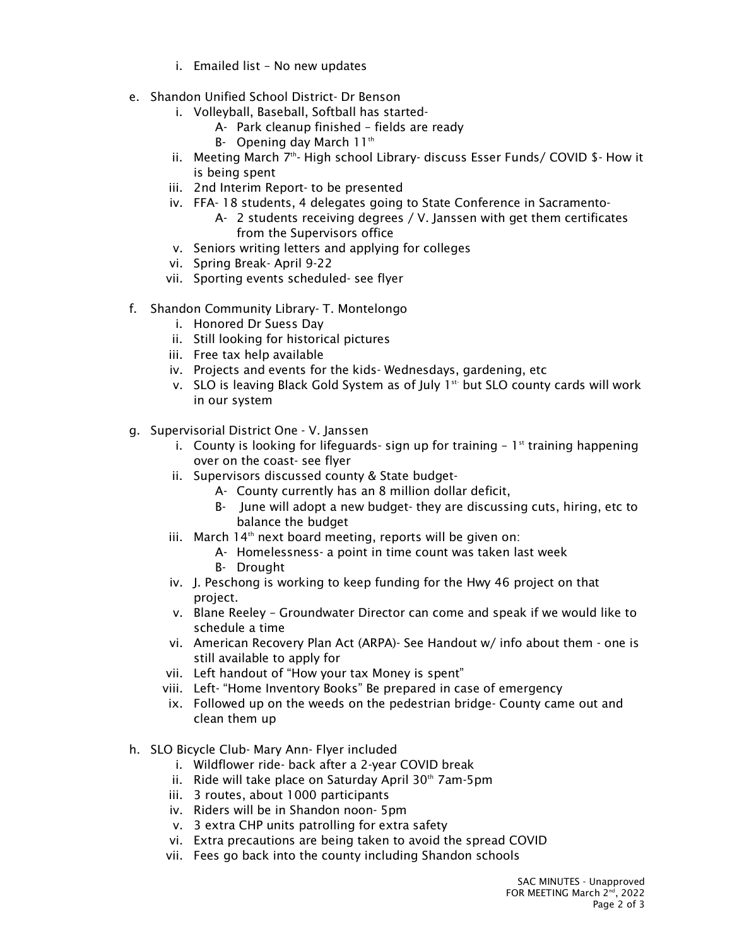- i. Emailed list No new updates
- e. Shandon Unified School District- Dr Benson
	- i. Volleyball, Baseball, Softball has started-
		- A- Park cleanup finished fields are ready
		- B- Opening day March  $11<sup>th</sup>$
	- ii. Meeting March 7<sup>th</sup>- High school Library- discuss Esser Funds/ COVID \$- How it is being spent
	- iii. 2nd Interim Report- to be presented
	- iv. FFA- 18 students, 4 delegates going to State Conference in Sacramento-
		- A- 2 students receiving degrees / V. Janssen with get them certificates from the Supervisors office
	- v. Seniors writing letters and applying for colleges
	- vi. Spring Break- April 9-22
	- vii. Sporting events scheduled- see flyer
- f. Shandon Community Library- T. Montelongo
	- i. Honored Dr Suess Day
	- ii. Still looking for historical pictures
	- iii. Free tax help available
	- iv. Projects and events for the kids- Wednesdays, gardening, etc
	- v. SLO is leaving Black Gold System as of July  $1^{st}$  but SLO county cards will work in our system
- g. Supervisorial District One V. Janssen
	- i. County is looking for lifeguards- sign up for training  $-1^{st}$  training happening over on the coast- see flyer
	- ii. Supervisors discussed county & State budget-
		- A- County currently has an 8 million dollar deficit,
		- B- June will adopt a new budget- they are discussing cuts, hiring, etc to balance the budget
	- iii. March  $14<sup>th</sup>$  next board meeting, reports will be given on:
		- A- Homelessness- a point in time count was taken last week
		- B- Drought
	- iv. J. Peschong is working to keep funding for the Hwy 46 project on that project.
	- v. Blane Reeley Groundwater Director can come and speak if we would like to schedule a time
	- vi. American Recovery Plan Act (ARPA)- See Handout w/ info about them one is still available to apply for
	- vii. Left handout of "How your tax Money is spent"
	- viii. Left- "Home Inventory Books" Be prepared in case of emergency
	- ix. Followed up on the weeds on the pedestrian bridge- County came out and clean them up
- h. SLO Bicycle Club- Mary Ann- Flyer included
	- i. Wildflower ride- back after a 2-year COVID break
	- ii. Ride will take place on Saturday April  $30<sup>th</sup>$  7am-5pm
	- iii. 3 routes, about 1000 participants
	- iv. Riders will be in Shandon noon- 5pm
	- v. 3 extra CHP units patrolling for extra safety
	- vi. Extra precautions are being taken to avoid the spread COVID
	- vii. Fees go back into the county including Shandon schools